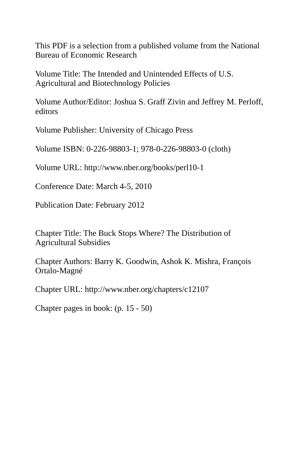This PDF is a selection from a published volume from the National Bureau of Economic Research

Volume Title: The Intended and Unintended Effects of U.S. Agricultural and Biotechnology Policies

Volume Author/Editor: Joshua S. Graff Zivin and Jeffrey M. Perloff, editors

Volume Publisher: University of Chicago Press

Volume ISBN: 0-226-98803-1; 978-0-226-98803-0 (cloth)

Volume URL: http://www.nber.org/books/perl10-1

Conference Date: March 4-5, 2010

Publication Date: February 2012

Chapter Title: The Buck Stops Where? The Distribution of Agricultural Subsidies

Chapter Authors: Barry K. Goodwin, Ashok K. Mishra, François Ortalo-Magné

Chapter URL: http://www.nber.org/chapters/c12107

Chapter pages in book: (p. 15 - 50)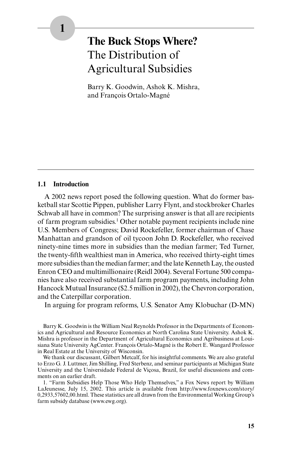# **The Buck Stops Where?** The Distribution of Agricultural Subsidies

Barry K. Goodwin, Ashok K. Mishra, and François Ortalo- Magné

## **1.1 Introduction**

A 2002 news report posed the following question. What do former basketball star Scottie Pippen, publisher Larry Flynt, and stockbroker Charles Schwab all have in common? The surprising answer is that all are recipients of farm program subsidies.<sup>1</sup> Other notable payment recipients include nine U.S. Members of Congress; David Rockefeller, former chairman of Chase Manhattan and grandson of oil tycoon John D. Rockefeller, who received ninety- nine times more in subsidies than the median farmer; Ted Turner, the twenty-fifth wealthiest man in America, who received thirty-eight times more subsidies than the median farmer; and the late Kenneth Lay, the ousted Enron CEO and multimillionaire (Reidl 2004). Several Fortune 500 companies have also received substantial farm program payments, including John Hancock Mutual Insurance (\$2.5 million in 2002), the Chevron corporation, and the Caterpillar corporation.

In arguing for program reforms, U.S. Senator Amy Klobuchar (D-MN)

Barry K. Goodwin is the William Neal Reynolds Professor in the Departments of Economics and Agricultural and Resource Economics at North Carolina State University. Ashok K. Mishra is professor in the Department of Agricultural Economics and Agribusiness at Louisiana State University AgCenter. François Ortalo- Magné is the Robert E. Wangard Professor in Real Estate at the University of Wisconsin.

We thank our discussant, Gilbert Metcalf, for his insightful comments. We are also grateful to Erzo G. J. Luttmer, Jim Shilling, Fred Sterbenz, and seminar participants at Michigan State University and the Universidade Federal de Viçosa, Brazil, for useful discussions and comments on an earlier draft.

1. "Farm Subsidies Help Those Who Help Themselves," a Fox News report by William La Jeunesse, July 15, 2002. This article is available from http://www.foxnews.com/story/ 0,2933,57602,00.html. These statistics are all drawn from the Environmental Working Group's farm subsidy database (www.ewg.org).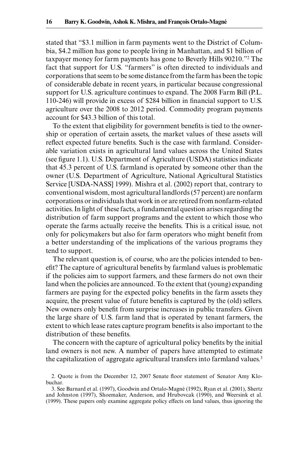stated that "\$3.1 million in farm payments went to the District of Columbia, \$4.2 million has gone to people living in Manhattan, and \$1 billion of taxpayer money for farm payments has gone to Beverly Hills 90210."2 The fact that support for U.S. "farmers" is often directed to individuals and corporations that seem to be some distance from the farm has been the topic of considerable debate in recent years, in particular because congressional support for U.S. agriculture continues to expand. The 2008 Farm Bill (P.L. 110-246) will provide in excess of \$284 billion in financial support to U.S. agriculture over the 2008 to 2012 period. Commodity program payments account for \$43.3 billion of this total.

To the extent that eligibility for government benefits is tied to the ownership or operation of certain assets, the market values of these assets will reflect expected future benefits. Such is the case with farmland. Considerable variation exists in agricultural land values across the United States (see figure 1.1). U.S. Department of Agriculture (USDA) statistics indicate that 45.3 percent of U.S. farmland is operated by someone other than the owner (U.S. Department of Agriculture, National Agricultural Statistics Service [USDA- NASS] 1999). Mishra et al. (2002) report that, contrary to conventional wisdom, most agricultural landlords (57 percent) are nonfarm corporations or individuals that work in or are retired from nonfarm- related activities. In light of these facts, a fundamental question arises regarding the distribution of farm support programs and the extent to which those who operate the farms actually receive the benefits. This is a critical issue, not only for policymakers but also for farm operators who might benefit from a better understanding of the implications of the various programs they tend to support.

The relevant question is, of course, who are the policies intended to benefit? The capture of agricultural benefits by farmland values is problematic if the policies aim to support farmers, and these farmers do not own their land when the policies are announced. To the extent that (young) expanding farmers are paying for the expected policy benefits in the farm assets they acquire, the present value of future benefits is captured by the (old) sellers. New owners only benefit from surprise increases in public transfers. Given the large share of U.S. farm land that is operated by tenant farmers, the extent to which lease rates capture program benefits is also important to the distribution of these benefits.

The concern with the capture of agricultural policy benefits by the initial land owners is not new. A number of papers have attempted to estimate the capitalization of aggregate agricultural transfers into farmland values.<sup>3</sup>

<sup>2.</sup> Quote is from the December 12, 2007 Senate floor statement of Senator Amy Klobuchar.

<sup>3.</sup> See Barnard et al. (1997), Goodwin and Ortalo- Magné (1992), Ryan et al. (2001), Shertz and Johnston (1997), Shoemaker, Anderson, and Hrubovcak (1990), and Weersink et al. (1999). These papers only examine aggregate policy effects on land values, thus ignoring the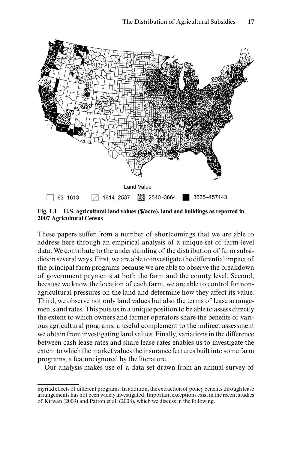

Fig. 1.1 U.S. agricultural land values (\$/ acre), land and buildings as reported in **2007 Agricultural Census**

These papers suffer from a number of shortcomings that we are able to address here through an empirical analysis of a unique set of farm- level data. We contribute to the understanding of the distribution of farm subsidies in several ways. First, we are able to investigate the differential impact of the principal farm programs because we are able to observe the breakdown of government payments at both the farm and the county level. Second, because we know the location of each farm, we are able to control for nonagricultural pressures on the land and determine how they affect its value. Third, we observe not only land values but also the terms of lease arrangements and rates. This puts us in a unique position to be able to assess directly the extent to which owners and farmer operators share the benefits of various agricultural programs, a useful complement to the indirect assessment we obtain from investigating land values. Finally, variations in the difference between cash lease rates and share lease rates enables us to investigate the extent to which the market values the insurance features built into some farm programs, a feature ignored by the literature.

Our analysis makes use of a data set drawn from an annual survey of

myriad effects of different programs. In addition, the extraction of policy benefits through lease arrangements has not been widely investigated. Important exceptions exist in the recent studies of Kirwan (2009) and Patton et al. (2008), which we discuss in the following.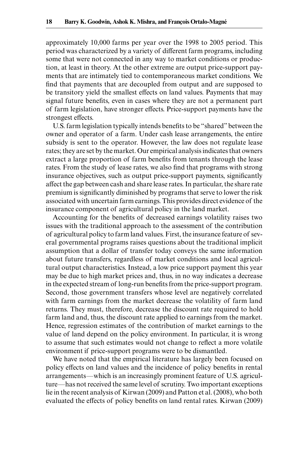approximately 10,000 farms per year over the 1998 to 2005 period. This period was characterized by a variety of different farm programs, including some that were not connected in any way to market conditions or production, at least in theory. At the other extreme are output price- support payments that are intimately tied to contemporaneous market conditions. We find that payments that are decoupled from output and are supposed to be transitory yield the smallest effects on land values. Payments that may signal future benefits, even in cases where they are not a permanent part of farm legislation, have stronger effects. Price- support payments have the strongest effects.

U.S. farm legislation typically intends benefits to be "shared" between the owner and operator of a farm. Under cash lease arrangements, the entire subsidy is sent to the operator. However, the law does not regulate lease rates; they are set by the market. Our empirical analysis indicates that owners extract a large proportion of farm benefits from tenants through the lease rates. From the study of lease rates, we also find that programs with strong insurance objectives, such as output price-support payments, significantly affect the gap between cash and share lease rates. In particular, the share rate premium is significantly diminished by programs that serve to lower the risk associated with uncertain farm earnings. This provides direct evidence of the insurance component of agricultural policy in the land market.

Accounting for the benefits of decreased earnings volatility raises two issues with the traditional approach to the assessment of the contribution of agricultural policy to farm land values. First, the insurance feature of several governmental programs raises questions about the traditional implicit assumption that a dollar of transfer today conveys the same information about future transfers, regardless of market conditions and local agricultural output characteristics. Instead, a low price support payment this year may be due to high market prices and, thus, in no way indicates a decrease in the expected stream of long-run benefits from the price-support program. Second, those government transfers whose level are negatively correlated with farm earnings from the market decrease the volatility of farm land returns. They must, therefore, decrease the discount rate required to hold farm land and, thus, the discount rate applied to earnings from the market. Hence, regression estimates of the contribution of market earnings to the value of land depend on the policy environment. In particular, it is wrong to assume that such estimates would not change to reflect a more volatile environment if price-support programs were to be dismantled.

We have noted that the empirical literature has largely been focused on policy effects on land values and the incidence of policy benefits in rental arrangements—which is an increasingly prominent feature of U.S. agriculture—has not received the same level of scrutiny. Two important exceptions lie in the recent analysis of Kirwan (2009) and Patton et al. (2008), who both evaluated the effects of policy benefits on land rental rates. Kirwan (2009)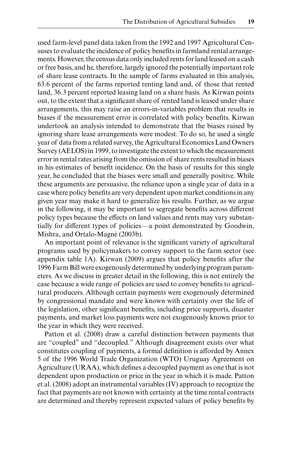used farm- level panel data taken from the 1992 and 1997 Agricultural Censuses to evaluate the incidence of policy benefits in farmland rental arrangements. However, the census data only included rents for land leased on a cash or free basis, and he, therefore, largely ignored the potentially important role of share lease contracts. In the sample of farms evaluated in this analysis, 63.6 percent of the farms reported renting land and, of those that rented land, 36.3 percent reported leasing land on a share basis. As Kirwan points out, to the extent that a significant share of rented land is leased under share arrangements, this may raise an errors-in-variables problem that results in biases if the measurement error is correlated with policy benefits. Kirwan undertook an analysis intended to demonstrate that the biases raised by ignoring share lease arrangements were modest. To do so, he used a single year of data from a related survey, the Agricultural Economics Land Owners Survey (AELOS) in 1999, to investigate the extent to which the measurement error in rental rates arising from the omission of share rents resulted in biases in his estimates of benefit incidence. On the basis of results for this single year, he concluded that the biases were small and generally positive. While these arguments are persuasive, the reliance upon a single year of data in a case where policy benefits are very dependent upon market conditions in any given year may make it hard to generalize his results. Further, as we argue in the following, it may be important to segregate benefits across different policy types because the effects on land values and rents may vary substantially for different types of policies—a point demonstrated by Goodwin, Mishra, and Ortalo-Magné (2003b).

An important point of relevance is the significant variety of agricultural programs used by policymakers to convey support to the farm sector (see appendix table  $1A$ ). Kirwan (2009) argues that policy benefits after the 1996 Farm Bill were exogenously determined by underlying program parameters. As we discuss in greater detail in the following, this is not entirely the case because a wide range of policies are used to convey benefits to agricultural producers. Although certain payments were exogenously determined by congressional mandate and were known with certainty over the life of the legislation, other significant benefits, including price supports, disaster payments, and market loss payments were not exogenously known prior to the year in which they were received.

Patton et al. (2008) draw a careful distinction between payments that are "coupled" and "decoupled." Although disagreement exists over what constitutes coupling of payments, a formal definition is afforded by Annex 5 of the 1996 World Trade Organization (WTO) Uruguay Agreement on Agriculture (URAA), which defines a decoupled payment as one that is not dependent upon production or price in the year in which it is made. Patton et al. (2008) adopt an instrumental variables (IV) approach to recognize the fact that payments are not known with certainty at the time rental contracts are determined and thereby represent expected values of policy benefits by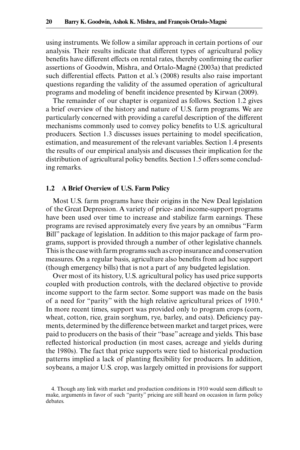using instruments. We follow a similar approach in certain portions of our analysis. Their results indicate that different types of agricultural policy benefits have different effects on rental rates, thereby confirming the earlier assertions of Goodwin, Mishra, and Ortalo- Magné (2003a) that predicted such differential effects. Patton et al.'s (2008) results also raise important questions regarding the validity of the assumed operation of agricultural programs and modeling of benefit incidence presented by Kirwan (2009).

The remainder of our chapter is organized as follows. Section 1.2 gives a brief overview of the history and nature of U.S. farm programs. We are particularly concerned with providing a careful description of the different mechanisms commonly used to convey policy benefits to U.S. agricultural producers. Section 1.3 discusses issues pertaining to model specification, estimation, and measurement of the relevant variables. Section 1.4 presents the results of our empirical analysis and discusses their implication for the distribution of agricultural policy benefits. Section 1.5 offers some concluding remarks.

#### **1.2 A Brief Overview of U.S. Farm Policy**

Most U.S. farm programs have their origins in the New Deal legislation of the Great Depression. A variety of price- and income- support programs have been used over time to increase and stabilize farm earnings. These programs are revised approximately every five years by an omnibus "Farm" Bill" package of legislation. In addition to this major package of farm programs, support is provided through a number of other legislative channels. This is the case with farm programs such as crop insurance and conservation measures. On a regular basis, agriculture also benefits from ad hoc support (though emergency bills) that is not a part of any budgeted legislation.

Over most of its history, U.S. agricultural policy has used price supports coupled with production controls, with the declared objective to provide income support to the farm sector. Some support was made on the basis of a need for "parity" with the high relative agricultural prices of 1910.4 In more recent times, support was provided only to program crops (corn, wheat, cotton, rice, grain sorghum, rye, barley, and oats). Deficiency payments, determined by the difference between market and target prices, were paid to producers on the basis of their "base" acreage and yields. This base reflected historical production (in most cases, acreage and yields during the 1980s). The fact that price supports were tied to historical production patterns implied a lack of planting flexibility for producers. In addition, soybeans, a major U.S. crop, was largely omitted in provisions for support

<sup>4.</sup> Though any link with market and production conditions in 1910 would seem difficult to make, arguments in favor of such "parity" pricing are still heard on occasion in farm policy debates.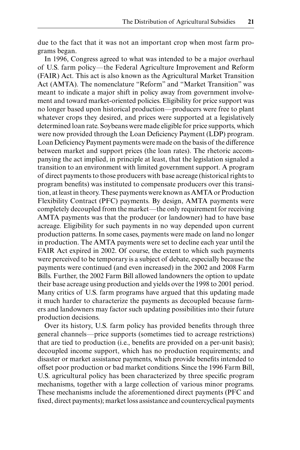due to the fact that it was not an important crop when most farm programs began.

In 1996, Congress agreed to what was intended to be a major overhaul of U.S. farm policy—the Federal Agriculture Improvement and Reform (FAIR) Act. This act is also known as the Agricultural Market Transition Act (AMTA). The nomenclature "Reform" and "Market Transition" was meant to indicate a major shift in policy away from government involvement and toward market-oriented policies. Eligibility for price support was no longer based upon historical production—producers were free to plant whatever crops they desired, and prices were supported at a legislatively determined loan rate. Soybeans were made eligible for price supports, which were now provided through the Loan Deficiency Payment (LDP) program. Loan Deficiency Payment payments were made on the basis of the difference between market and support prices (the loan rates). The rhetoric accompanying the act implied, in principle at least, that the legislation signaled a transition to an environment with limited government support. A program of direct payments to those producers with base acreage (historical rights to program benefits) was instituted to compensate producers over this transition, at least in theory. These payments were known as AMTA or Production Flexibility Contract (PFC) payments. By design, AMTA payments were completely decoupled from the market—the only requirement for receiving AMTA payments was that the producer (or landowner) had to have base acreage. Eligibility for such payments in no way depended upon current production patterns. In some cases, payments were made on land no longer in production. The AMTA payments were set to decline each year until the FAIR Act expired in 2002. Of course, the extent to which such payments were perceived to be temporary is a subject of debate, especially because the payments were continued (and even increased) in the 2002 and 2008 Farm Bills. Further, the 2002 Farm Bill allowed landowners the option to update their base acreage using production and yields over the 1998 to 2001 period. Many critics of U.S. farm programs have argued that this updating made it much harder to characterize the payments as decoupled because farmers and landowners may factor such updating possibilities into their future production decisions.

Over its history, U.S. farm policy has provided benefits through three general channels—price supports (sometimes tied to acreage restrictions) that are tied to production (i.e., benefits are provided on a per-unit basis); decoupled income support, which has no production requirements; and disaster or market assistance payments, which provide benefits intended to offset poor production or bad market conditions. Since the 1996 Farm Bill, U.S. agricultural policy has been characterized by three specific program mechanisms, together with a large collection of various minor programs. These mechanisms include the aforementioned direct payments (PFC and fixed, direct payments); market loss assistance and countercyclical payments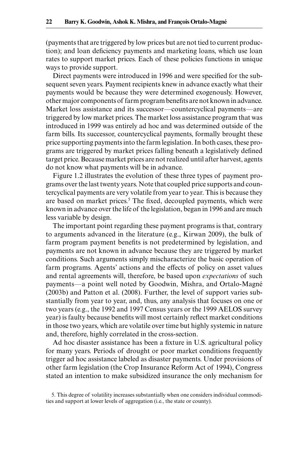(payments that are triggered by low prices but are not tied to current production); and loan deficiency payments and marketing loans, which use loan rates to support market prices. Each of these policies functions in unique ways to provide support.

Direct payments were introduced in 1996 and were specified for the subsequent seven years. Payment recipients knew in advance exactly what their payments would be because they were determined exogenously. However, other major components of farm program benefits are not known in advance. Market loss assistance and its successor—countercyclical payments—are triggered by low market prices. The market loss assistance program that was introduced in 1999 was entirely ad hoc and was determined outside of the farm bills. Its successor, countercyclical payments, formally brought these price supporting payments into the farm legislation. In both cases, these programs are triggered by market prices falling beneath a legislatively defined target price. Because market prices are not realized until after harvest, agents do not know what payments will be in advance.

Figure 1.2 illustrates the evolution of these three types of payment programs over the last twenty years. Note that coupled price supports and countercyclical payments are very volatile from year to year. This is because they are based on market prices.<sup>5</sup> The fixed, decoupled payments, which were known in advance over the life of the legislation, began in 1996 and are much less variable by design.

The important point regarding these payment programs is that, contrary to arguments advanced in the literature (e.g., Kirwan 2009), the bulk of farm program payment benefits is not predetermined by legislation, and payments are not known in advance because they are triggered by market conditions. Such arguments simply mischaracterize the basic operation of farm programs. Agents' actions and the effects of policy on asset values and rental agreements will, therefore, be based upon *expectations* of such payments—a point well noted by Goodwin, Mishra, and Ortalo- Magné (2003b) and Patton et al. (2008). Further, the level of support varies substantially from year to year, and, thus, any analysis that focuses on one or two years (e.g., the 1992 and 1997 Census years or the 1999 AELOS survey year) is faulty because benefits will most certainly reflect market conditions in those two years, which are volatile over time but highly systemic in nature and, therefore, highly correlated in the cross- section.

Ad hoc disaster assistance has been a fixture in U.S. agricultural policy for many years. Periods of drought or poor market conditions frequently trigger ad hoc assistance labeled as disaster payments. Under provisions of other farm legislation (the Crop Insurance Reform Act of 1994), Congress stated an intention to make subsidized insurance the only mechanism for

<sup>5.</sup> This degree of volatility increases substantially when one considers individual commodities and support at lower levels of aggregation (i.e., the state or county).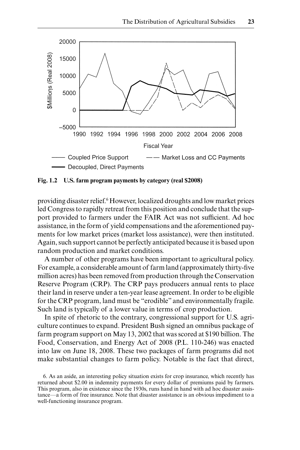

**Fig. 1.2 U.S. farm program payments by category (real \$2008)**

providing disaster relief.<sup>6</sup> However, localized droughts and low market prices led Congress to rapidly retreat from this position and conclude that the support provided to farmers under the FAIR Act was not sufficient. Ad hoc assistance, in the form of yield compensations and the aforementioned payments for low market prices (market loss assistance), were then instituted. Again, such support cannot be perfectly anticipated because it is based upon random production and market conditions.

A number of other programs have been important to agricultural policy. For example, a considerable amount of farm land (approximately thirty-five million acres) has been removed from production through the Conservation Reserve Program (CRP). The CRP pays producers annual rents to place their land in reserve under a ten- year lease agreement. In order to be eligible for the CRP program, land must be "erodible" and environmentally fragile. Such land is typically of a lower value in terms of crop production.

In spite of rhetoric to the contrary, congressional support for U.S. agriculture continues to expand. President Bush signed an omnibus package of farm program support on May 13, 2002 that was scored at \$190 billion. The Food, Conservation, and Energy Act of 2008 (P.L. 110-246) was enacted into law on June 18, 2008. These two packages of farm programs did not make substantial changes to farm policy. Notable is the fact that direct,

<sup>6.</sup> As an aside, an interesting policy situation exists for crop insurance, which recently has returned about \$2.00 in indemnity payments for every dollar of premiums paid by farmers. This program, also in existence since the 1930s, runs hand in hand with ad hoc disaster assistance—a form of free insurance. Note that disaster assistance is an obvious impediment to a well-functioning insurance program.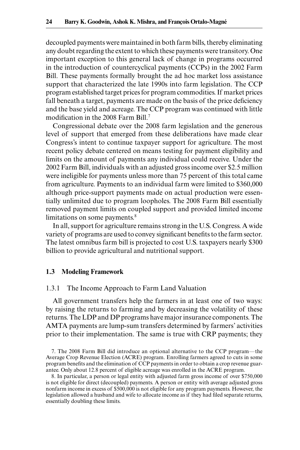decoupled payments were maintained in both farm bills, thereby eliminating any doubt regarding the extent to which these payments were transitory. One important exception to this general lack of change in programs occurred in the introduction of countercyclical payments (CCPs) in the 2002 Farm Bill. These payments formally brought the ad hoc market loss assistance support that characterized the late 1990s into farm legislation. The CCP program established target prices for program commodities. If market prices fall beneath a target, payments are made on the basis of the price deficiency and the base yield and acreage. The CCP program was continued with little modification in the 2008 Farm Bill.<sup>7</sup>

Congressional debate over the 2008 farm legislation and the generous level of support that emerged from these deliberations have made clear Congress's intent to continue taxpayer support for agriculture. The most recent policy debate centered on means testing for payment eligibility and limits on the amount of payments any individual could receive. Under the 2002 Farm Bill, individuals with an adjusted gross income over \$2.5 million were ineligible for payments unless more than 75 percent of this total came from agriculture. Payments to an individual farm were limited to \$360,000 although price-support payments made on actual production were essentially unlimited due to program loopholes. The 2008 Farm Bill essentially removed payment limits on coupled support and provided limited income limitations on some payments.<sup>8</sup>

In all, support for agriculture remains strong in the U.S. Congress. A wide variety of programs are used to convey significant benefits to the farm sector. The latest omnibus farm bill is projected to cost U.S. taxpayers nearly \$300 billion to provide agricultural and nutritional support.

## **1.3 Modeling Framework**

### 1.3.1 The Income Approach to Farm Land Valuation

All government transfers help the farmers in at least one of two ways: by raising the returns to farming and by decreasing the volatility of these returns. The LDP and DP programs have major insurance components. The AMTA payments are lump-sum transfers determined by farmers' activities prior to their implementation. The same is true with CRP payments; they

<sup>7.</sup> The 2008 Farm Bill did introduce an optional alternative to the CCP program—the Average Crop Revenue Election (ACRE) program. Enrolling farmers agreed to cuts in some program benefits and the elimination of CCP payments in order to obtain a crop revenue guarantee. Only about 12.8 percent of eligible acreage was enrolled in the ACRE program.

<sup>8.</sup> In particular, a person or legal entity with adjusted farm gross income of over \$750,000 is not eligible for direct (decoupled) payments. A person or entity with average adjusted gross nonfarm income in excess of \$500,000 is not eligible for any program payments. However, the legislation allowed a husband and wife to allocate income as if they had filed separate returns, essentially doubling these limits.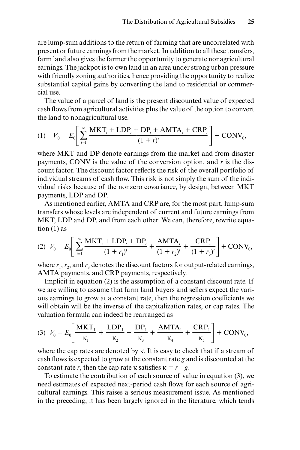are lump- sum additions to the return of farming that are uncorrelated with present or future earnings from the market. In addition to all these transfers, farm land also gives the farmer the opportunity to generate nonagricultural earnings. The jackpot is to own land in an area under strong urban pressure with friendly zoning authorities, hence providing the opportunity to realize substantial capital gains by converting the land to residential or commercial use.

The value of a parcel of land is the present discounted value of expected cash flows from agricultural activities plus the value of the option to convert the land to nonagricultural use.

(1) 
$$
V_0 = E_0 \left[ \sum_{t=1}^{\infty} \frac{\text{MKT}_t + \text{LDP}_t + \text{DPI}_t + \text{AMTA}_t + \text{CRP}_t}{(1+r)^t} \right] + \text{CONV}_0,
$$

where MKT and DP denote earnings from the market and from disaster payments, CONV is the value of the conversion option, and *r* is the discount factor. The discount factor reflects the risk of the overall portfolio of individual streams of cash flow. This risk is not simply the sum of the individual risks because of the nonzero covariance, by design, between MKT payments, LDP and DP.

As mentioned earlier, AMTA and CRP are, for the most part, lump-sum transfers whose levels are independent of current and future earnings from MKT, LDP and DP, and from each other. We can, therefore, rewrite equation  $(1)$  as

(2) 
$$
V_0 = E_0 \left[ \sum_{t=1}^{\infty} \frac{\text{MKT}_t + \text{LDP}_t + \text{DP}_t}{(1 + r_1)^t} + \frac{\text{AMTA}_t}{(1 + r_2)^t} + \frac{\text{CRP}_t}{(1 + r_3)^t} \right] + \text{CONV}_0,
$$

where  $r_1$ ,  $r_2$ , and  $r_3$  denotes the discount factors for output-related earnings, AMTA payments, and CRP payments, respectively.

Implicit in equation (2) is the assumption of a constant discount rate. If we are willing to assume that farm land buyers and sellers expect the various earnings to grow at a constant rate, then the regression coefficients we will obtain will be the inverse of the capitalization rates, or cap rates. The valuation formula can indeed be rearranged as

$$
(3) V_0 = E_0 \left[ \frac{\text{MKT}_1}{\kappa_1} + \frac{\text{LDP}_1}{\kappa_2} + \frac{\text{DP}_1}{\kappa_3} + \frac{\text{AMTA}_1}{\kappa_4} + \frac{\text{CRP}_1}{\kappa_5} \right] + \text{CONV}_0,
$$

where the cap rates are denoted by  $\kappa$ . It is easy to check that if a stream of cash flows is expected to grow at the constant rate *g* and is discounted at the constant rate *r*, then the cap rate  $\kappa$  satisfies  $\kappa = r - g$ .

To estimate the contribution of each source of value in equation (3), we need estimates of expected next-period cash flows for each source of agricultural earnings. This raises a serious measurement issue. As mentioned in the preceding, it has been largely ignored in the literature, which tends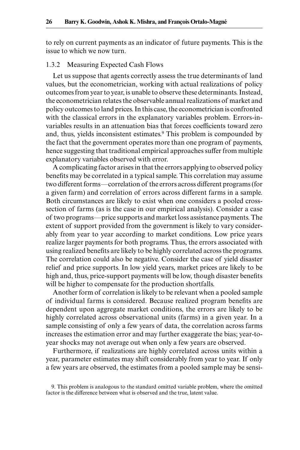to rely on current payments as an indicator of future payments. This is the issue to which we now turn.

## 1.3.2 Measuring Expected Cash Flows

Let us suppose that agents correctly assess the true determinants of land values, but the econometrician, working with actual realizations of policy outcomes from year to year, is unable to observe these determinants. Instead, the econometrician relates the observable annual realizations of market and policy outcomes to land prices. In this case, the econometrician is confronted with the classical errors in the explanatory variables problem. Errors-in variables results in an attenuation bias that forces coefficients toward zero and, thus, yields inconsistent estimates.<sup>9</sup> This problem is compounded by the fact that the government operates more than one program of payments, hence suggesting that traditional empirical approaches suffer from multiple explanatory variables observed with error.

A complicating factor arises in that the errors applying to observed policy benefits may be correlated in a typical sample. This correlation may assume two different forms—correlation of the errors across different programs (for a given farm) and correlation of errors across different farms in a sample. Both circumstances are likely to exist when one considers a pooled cross section of farms (as is the case in our empirical analysis). Consider a case of two programs—price supports and market loss assistance payments. The extent of support provided from the government is likely to vary considerably from year to year according to market conditions. Low price years realize larger payments for both programs. Thus, the errors associated with using realized benefits are likely to be highly correlated across the programs. The correlation could also be negative. Consider the case of yield disaster relief and price supports. In low yield years, market prices are likely to be high and, thus, price-support payments will be low, though disaster benefits will be higher to compensate for the production shortfalls.

Another form of correlation is likely to be relevant when a pooled sample of individual farms is considered. Because realized program benefits are dependent upon aggregate market conditions, the errors are likely to be highly correlated across observational units (farms) in a given year. In a sample consisting of only a few years of data, the correlation across farms increases the estimation error and may further exaggerate the bias; year-toyear shocks may not average out when only a few years are observed.

Furthermore, if realizations are highly correlated across units within a year, parameter estimates may shift considerably from year to year. If only a few years are observed, the estimates from a pooled sample may be sensi-

9. This problem is analogous to the standard omitted variable problem, where the omitted factor is the difference between what is observed and the true, latent value.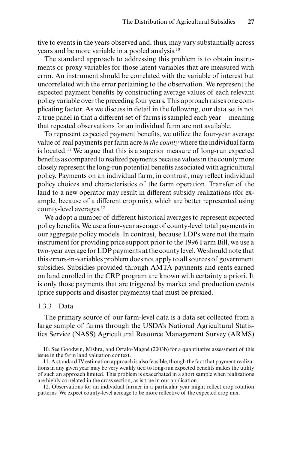tive to events in the years observed and, thus, may vary substantially across years and be more variable in a pooled analysis.10

The standard approach to addressing this problem is to obtain instruments or proxy variables for those latent variables that are measured with error. An instrument should be correlated with the variable of interest but uncorrelated with the error pertaining to the observation. We represent the expected payment benefits by constructing average values of each relevant policy variable over the preceding four years. This approach raises one complicating factor. As we discuss in detail in the following, our data set is not a true panel in that a different set of farms is sampled each year—meaning that repeated observations for an individual farm are not available.

To represent expected payment benefits, we utilize the four-year average value of real payments per farm acre *in the county* where the individual farm is located.<sup>11</sup> We argue that this is a superior measure of long-run expected benefits as compared to realized payments because values in the county more closely represent the long-run potential benefits associated with agricultural policy. Payments on an individual farm, in contrast, may reflect individual policy choices and characteristics of the farm operation. Transfer of the land to a new operator may result in different subsidy realizations (for example, because of a different crop mix), which are better represented using county-level averages.<sup>12</sup>

We adopt a number of different historical averages to represent expected policy benefits. We use a four-year average of county-level total payments in our aggregate policy models. In contrast, because LDPs were not the main instrument for providing price support prior to the 1996 Farm Bill, we use a two- year average for LDP payments at the county level. We should note that this errors- in- variables problem does not apply to all sources of government subsidies. Subsidies provided through AMTA payments and rents earned on land enrolled in the CRP program are known with certainty a priori. It is only those payments that are triggered by market and production events (price supports and disaster payments) that must be proxied.

## 1.3.3 Data

The primary source of our farm- level data is a data set collected from a large sample of farms through the USDA's National Agricultural Statistics Service (NASS) Agricultural Resource Management Survey (ARMS)

10. See Goodwin, Mishra, and Ortalo- Magné (2003b) for a quantitative assessment of this issue in the farm land valuation context.

11. A standard IV estimation approach is also feasible, though the fact that payment realizations in any given year may be very weakly tied to long-run expected benefits makes the utility of such an approach limited. This problem is exacerbated in a short sample when realizations are highly correlated in the cross section, as is true in our application.

12. Observations for an individual farmer in a particular year might reflect crop rotation patterns. We expect county-level acreage to be more reflective of the expected crop mix.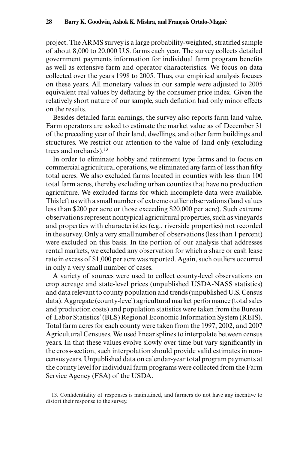project. The ARMS survey is a large probability-weighted, stratified sample of about 8,000 to 20,000 U.S. farms each year. The survey collects detailed government payments information for individual farm program benefits as well as extensive farm and operator characteristics. We focus on data collected over the years 1998 to 2005. Thus, our empirical analysis focuses on these years. All monetary values in our sample were adjusted to 2005 equivalent real values by deflating by the consumer price index. Given the relatively short nature of our sample, such deflation had only minor effects on the results.

Besides detailed farm earnings, the survey also reports farm land value. Farm operators are asked to estimate the market value as of December 31 of the preceding year of their land, dwellings, and other farm buildings and structures. We restrict our attention to the value of land only (excluding trees and orchards).<sup>13</sup>

In order to eliminate hobby and retirement type farms and to focus on commercial agricultural operations, we eliminated any farm of less than fifty total acres. We also excluded farms located in counties with less than 100 total farm acres, thereby excluding urban counties that have no production agriculture. We excluded farms for which incomplete data were available. This left us with a small number of extreme outlier observations (land values less than \$200 per acre or those exceeding \$20,000 per acre). Such extreme observations represent nontypical agricultural properties, such as vineyards and properties with characteristics (e.g., riverside properties) not recorded in the survey. Only a very small number of observations (less than 1 percent) were excluded on this basis. In the portion of our analysis that addresses rental markets, we excluded any observation for which a share or cash lease rate in excess of \$1,000 per acre was reported. Again, such outliers occurred in only a very small number of cases.

A variety of sources were used to collect county- level observations on crop acreage and state-level prices (unpublished USDA-NASS statistics) and data relevant to county population and trends (unpublished U.S. Census data). Aggregate (county- level) agricultural market performance (total sales and production costs) and population statistics were taken from the Bureau of Labor Statistics' (BLS) Regional Economic Information System (REIS). Total farm acres for each county were taken from the 1997, 2002, and 2007 Agricultural Censuses. We used linear splines to interpolate between census years. In that these values evolve slowly over time but vary significantly in the cross- section, such interpolation should provide valid estimates in noncensus years. Unpublished data on calendar- year total program payments at the county level for individual farm programs were collected from the Farm Service Agency (FSA) of the USDA.

<sup>13.</sup> Confidentiality of responses is maintained, and farmers do not have any incentive to distort their response to the survey.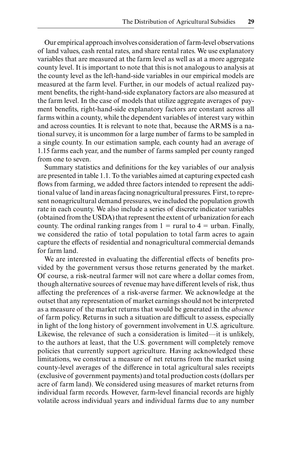Our empirical approach involves consideration of farm- level observations of land values, cash rental rates, and share rental rates. We use explanatory variables that are measured at the farm level as well as at a more aggregate county level. It is important to note that this is not analogous to analysis at the county level as the left- hand- side variables in our empirical models are measured at the farm level. Further, in our models of actual realized payment benefits, the right-hand-side explanatory factors are also measured at the farm level. In the case of models that utilize aggregate averages of payment benefits, right-hand-side explanatory factors are constant across all farms within a county, while the dependent variables of interest vary within and across counties. It is relevant to note that, because the ARMS is a national survey, it is uncommon for a large number of farms to be sampled in a single county. In our estimation sample, each county had an average of 1.15 farms each year, and the number of farms sampled per county ranged from one to seven.

Summary statistics and definitions for the key variables of our analysis are presented in table 1.1. To the variables aimed at capturing expected cash flows from farming, we added three factors intended to represent the additional value of land in areas facing nonagricultural pressures. First, to represent nonagricultural demand pressures, we included the population growth rate in each county. We also include a series of discrete indicator variables (obtained from the USDA) that represent the extent of urbanization for each county. The ordinal ranking ranges from  $1 = \text{rural to } 4 = \text{urban}$ . Finally, we considered the ratio of total population to total farm acres to again capture the effects of residential and nonagricultural commercial demands for farm land.

We are interested in evaluating the differential effects of benefits provided by the government versus those returns generated by the market. Of course, a risk- neutral farmer will not care where a dollar comes from, though alternative sources of revenue may have different levels of risk, thus affecting the preferences of a risk- averse farmer. We acknowledge at the outset that any representation of market earnings should not be interpreted as a measure of the market returns that would be generated in the *absence* of farm policy. Returns in such a situation are difficult to assess, especially in light of the long history of government involvement in U.S. agriculture. Likewise, the relevance of such a consideration is limited—it is unlikely, to the authors at least, that the U.S. government will completely remove policies that currently support agriculture. Having acknowledged these limitations, we construct a measure of net returns from the market using county- level averages of the difference in total agricultural sales receipts (exclusive of government payments) and total production costs (dollars per acre of farm land). We considered using measures of market returns from individual farm records. However, farm-level financial records are highly volatile across individual years and individual farms due to any number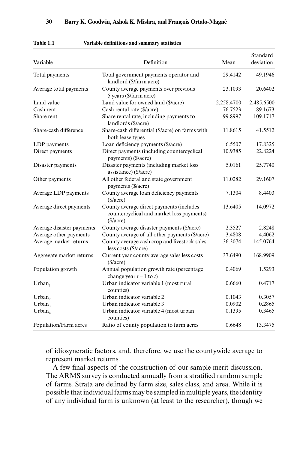| Variable                  | Definition                                                                                        | Mean       | Standard<br>deviation |
|---------------------------|---------------------------------------------------------------------------------------------------|------------|-----------------------|
| Total payments            | Total government payments operator and<br>landlord (\$/farm acre)                                 | 29.4142    | 49.1946               |
| Average total payments    | County average payments over previous<br>5 years (\$/farm acre)                                   | 23.1093    | 20.6402               |
| Land value                | Land value for owned land (\$/acre)                                                               | 2,258.4700 | 2,485.6500            |
| Cash rent                 | Cash rental rate (\$/acre)                                                                        | 76.7523    | 89.1673               |
| Share rent                | Share rental rate, including payments to<br>landlords (\$/acre)                                   | 99.8997    | 109.1717              |
| Share-cash difference     | Share-cash differential (\$/acre) on farms with<br>both lease types                               | 11.8615    | 41.5512               |
| LDP payments              | Loan deficiency payments (\$/acre)                                                                | 6.5507     | 17.8325               |
| Direct payments           | Direct payments (including countercyclical<br>payments) (\$/acre)                                 | 10.9385    | 22.8224               |
| Disaster payments         | Disaster payments (including market loss<br>assistance) (\$/acre)                                 | 5.0161     | 25.7740               |
| Other payments            | All other federal and state government<br>payments (\$/acre)                                      | 11.0282    | 29.1607               |
| Average LDP payments      | County average loan deficiency payments<br>\$/acre)                                               | 7.1304     | 8.4403                |
| Average direct payments   | County average direct payments (includes<br>countercyclical and market loss payments)<br>\$/acre) | 13.6405    | 14.0972               |
| Average disaster payments | County average disaster payments (\$/acre)                                                        | 2.3527     | 2.8248                |
| Average other payments    | County average of all other payments (\$/acre)                                                    | 3.4808     | 4.4062                |
| Average market returns    | County average cash crop and livestock sales<br>less costs (\$/acre)                              | 36.3074    | 145.0764              |
| Aggregate market returns  | Current year county average sales less costs<br>\$/acre)                                          | 37.6490    | 168.9909              |
| Population growth         | Annual population growth rate (percentage<br>change year $t-1$ to t)                              | 0.4069     | 1.5293                |
| Urban <sub>1</sub>        | Urban indicator variable 1 (most rural<br>counties)                                               | 0.6660     | 0.4717                |
| Urban,                    | Urban indicator variable 2                                                                        | 0.1043     | 0.3057                |
| Urban <sub>3</sub>        | Urban indicator variable 3                                                                        | 0.0902     | 0.2865                |
| $Urban_{4}$               | Urban indicator variable 4 (most urban<br>counties)                                               | 0.1395     | 0.3465                |
| Population/Farm acres     | Ratio of county population to farm acres                                                          | 0.6648     | 13.3475               |

#### Table 1.1 Variable definitions and summary statistics

of idiosyncratic factors, and, therefore, we use the countywide average to represent market returns.

A few final aspects of the construction of our sample merit discussion. The ARMS survey is conducted annually from a stratified random sample of farms. Strata are defined by farm size, sales class, and area. While it is possible that individual farms may be sampled in multiple years, the identity of any individual farm is unknown (at least to the researcher), though we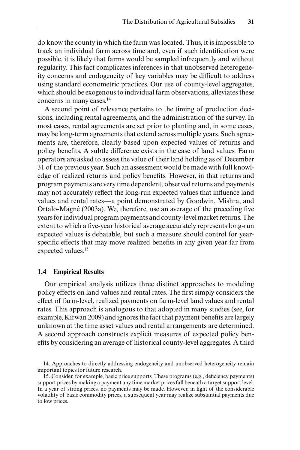do know the county in which the farm was located. Thus, it is impossible to track an individual farm across time and, even if such identification were possible, it is likely that farms would be sampled infrequently and without regularity. This fact complicates inferences in that unobserved heterogeneity concerns and endogeneity of key variables may be difficult to address using standard econometric practices. Our use of county- level aggregates, which should be exogenous to individual farm observations, alleviates these concerns in many cases.14

A second point of relevance pertains to the timing of production decisions, including rental agreements, and the administration of the survey. In most cases, rental agreements are set prior to planting and, in some cases, may be long- term agreements that extend across multiple years. Such agreements are, therefore, clearly based upon expected values of returns and policy benefits. A subtle difference exists in the case of land values. Farm operators are asked to assess the value of their land holding as of December 31 of the previous year. Such an assessment would be made with full knowledge of realized returns and policy benefits. However, in that returns and program payments are very time dependent, observed returns and payments may not accurately reflect the long-run expected values that influence land values and rental rates—a point demonstrated by Goodwin, Mishra, and Ortalo-Magné (2003a). We, therefore, use an average of the preceding five years for individual program payments and county- level market returns. The extent to which a five-year historical average accurately represents long-run expected values is debatable, but such a measure should control for year specific effects that may move realized benefits in any given year far from expected values.<sup>15</sup>

## **1.4 Empirical Results**

Our empirical analysis utilizes three distinct approaches to modeling policy effects on land values and rental rates. The first simply considers the effect of farm- level, realized payments on farm- level land values and rental rates. This approach is analogous to that adopted in many studies (see, for example, Kirwan 2009) and ignores the fact that payment benefits are largely unknown at the time asset values and rental arrangements are determined. A second approach constructs explicit measures of expected policy benefits by considering an average of historical county-level aggregates. A third

<sup>14.</sup> Approaches to directly addressing endogeneity and unobserved heterogeneity remain important topics for future research.

<sup>15.</sup> Consider, for example, basic price supports. These programs (e.g., deficiency payments) support prices by making a payment any time market prices fall beneath a target support level. In a year of strong prices, no payments may be made. However, in light of the considerable volatility of basic commodity prices, a subsequent year may realize substantial payments due to low prices.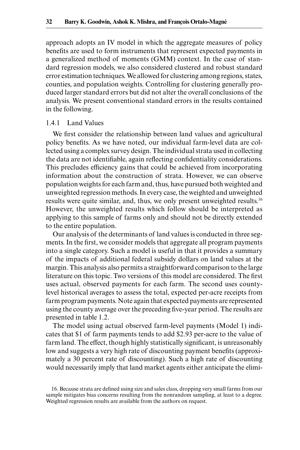approach adopts an IV model in which the aggregate measures of policy benefits are used to form instruments that represent expected payments in a generalized method of moments (GMM) context. In the case of standard regression models, we also considered clustered and robust standard error estimation techniques. We allowed for clustering among regions, states, counties, and population weights. Controlling for clustering generally produced larger standard errors but did not alter the overall conclusions of the analysis. We present conventional standard errors in the results contained in the following.

## 1.4.1 Land Values

We first consider the relationship between land values and agricultural policy benefits. As we have noted, our individual farm-level data are collected using a complex survey design. The individual strata used in collecting the data are not identifiable, again reflecting confidentiality considerations. This precludes efficiency gains that could be achieved from incorporating information about the construction of strata. However, we can observe population weights for each farm and, thus, have pursued both weighted and unweighted regression methods. In every case, the weighted and unweighted results were quite similar, and, thus, we only present unweighted results.16 However, the unweighted results which follow should be interpreted as applying to this sample of farms only and should not be directly extended to the entire population.

Our analysis of the determinants of land values is conducted in three segments. In the first, we consider models that aggregate all program payments into a single category. Such a model is useful in that it provides a summary of the impacts of additional federal subsidy dollars on land values at the margin. This analysis also permits a straightforward comparison to the large literature on this topic. Two versions of this model are considered. The first uses actual, observed payments for each farm. The second uses county level historical averages to assess the total, expected per-acre receipts from farm program payments. Note again that expected payments are represented using the county average over the preceding five-year period. The results are presented in table 1.2.

The model using actual observed farm-level payments (Model 1) indicates that \$1 of farm payments tends to add \$2.93 per- acre to the value of farm land. The effect, though highly statistically significant, is unreasonably low and suggests a very high rate of discounting payment benefits (approximately a 30 percent rate of discounting). Such a high rate of discounting would necessarily imply that land market agents either anticipate the elimi-

<sup>16.</sup> Because strata are defined using size and sales class, dropping very small farms from our sample mitigates bias concerns resulting from the nonrandom sampling, at least to a degree. Weighted regression results are available from the authors on request.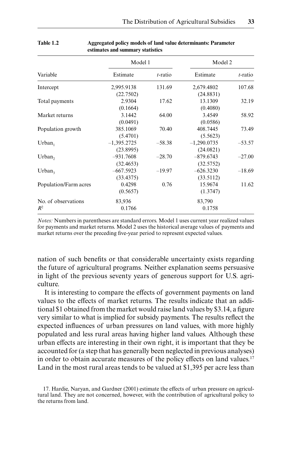|                              | Model 1                    |            | Model 2                    |          |
|------------------------------|----------------------------|------------|----------------------------|----------|
| Variable                     | Estimate                   | $t$ -ratio | Estimate                   | t-ratio  |
| Intercept                    | 2,995.9138<br>(22.7502)    | 131.69     | 2,679.4802<br>(24.8831)    | 107.68   |
| Total payments               | 2.9304<br>(0.1664)         | 17.62      | 13.1309<br>(0.4080)        | 32.19    |
| Market returns               | 3.1442<br>(0.0491)         | 64.00      | 3.4549<br>(0.0586)         | 58.92    |
| Population growth            | 385.1069<br>(5.4701)       | 70.40      | 408.7445<br>(5.5623)       | 73.49    |
| Urban,                       | $-1,395,2725$<br>(23.8995) | $-58.38$   | $-1,290.0735$<br>(24.0821) | $-53.57$ |
| Urban,                       | $-931.7608$<br>(32.4653)   | $-28.70$   | $-879.6743$<br>(32.5752)   | $-27.00$ |
| Urban <sub>3</sub>           | $-667.5923$<br>(33.4375)   | $-19.97$   | $-626.3230$<br>(33.5112)   | $-18.69$ |
| Population/Farm acres        | 0.4298<br>(0.5657)         | 0.76       | 15.9674<br>(1.3747)        | 11.62    |
| No. of observations<br>$R^2$ | 83,936<br>0.1766           |            | 83,790<br>0.1758           |          |

#### **Table 1.2 Aggregated policy models of land value determinants: Parameter estimates and summary statistics**

*Notes:* Numbers in parentheses are standard errors. Model 1 uses current year realized values for payments and market returns. Model 2 uses the historical average values of payments and market returns over the preceding five-year period to represent expected values.

nation of such benefits or that considerable uncertainty exists regarding the future of agricultural programs. Neither explanation seems persuasive in light of the previous seventy years of generous support for U.S. agriculture.

It is interesting to compare the effects of government payments on land values to the effects of market returns. The results indicate that an additional \$1 obtained from the market would raise land values by \$3.14, a figure very similar to what is implied for subsidy payments. The results reflect the expected influences of urban pressures on land values, with more highly populated and less rural areas having higher land values. Although these urban effects are interesting in their own right, it is important that they be accounted for (a step that has generally been neglected in previous analyses) in order to obtain accurate measures of the policy effects on land values.<sup>17</sup> Land in the most rural areas tends to be valued at \$1,395 per acre less than

<sup>17.</sup> Hardie, Naryan, and Gardner (2001) estimate the effects of urban pressure on agricultural land. They are not concerned, however, with the contribution of agricultural policy to the returns from land.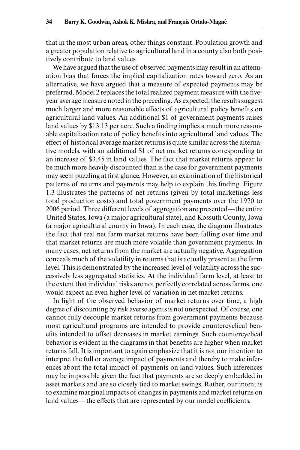that in the most urban areas, other things constant. Population growth and a greater population relative to agricultural land in a county also both positively contribute to land values.

We have argued that the use of observed payments may result in an attenuation bias that forces the implied capitalization rates toward zero. As an alternative, we have argued that a measure of expected payments may be preferred. Model 2 replaces the total realized payment measure with the five year average measure noted in the preceding. As expected, the results suggest much larger and more reasonable effects of agricultural policy benefits on agricultural land values. An additional \$1 of government payments raises land values by \$13.13 per acre. Such a finding implies a much more reasonable capitalization rate of policy benefits into agricultural land values. The effect of historical average market returns is quite similar across the alternative models, with an additional \$1 of net market returns corresponding to an increase of \$3.45 in land values. The fact that market returns appear to be much more heavily discounted than is the case for government payments may seem puzzling at first glance. However, an examination of the historical patterns of returns and payments may help to explain this finding. Figure 1.3 illustrates the patterns of net returns (given by total marketings less total production costs) and total government payments over the 1970 to 2006 period. Three different levels of aggregation are presented—the entire United States, Iowa (a major agricultural state), and Kossuth County, Iowa (a major agricultural county in Iowa). In each case, the diagram illustrates the fact that real net farm market returns have been falling over time and that market returns are much more volatile than government payments. In many cases, net returns from the market are actually negative. Aggregation conceals much of the volatility in returns that is actually present at the farm level. This is demonstrated by the increased level of volatility across the successively less aggregated statistics. At the individual farm level, at least to the extent that individual risks are not perfectly correlated across farms, one would expect an even higher level of variation in net market returns.

In light of the observed behavior of market returns over time, a high degree of discounting by risk averse agents is not unexpected. Of course, one cannot fully decouple market returns from government payments because most agricultural programs are intended to provide countercyclical benefits intended to offset decreases in market earnings. Such countercyclical behavior is evident in the diagrams in that benefits are higher when market returns fall. It is important to again emphasize that it is not our intention to interpret the full or average impact of payments and thereby to make inferences about the total impact of payments on land values. Such inferences may be impossible given the fact that payments are so deeply embedded in asset markets and are so closely tied to market swings. Rather, our intent is to examine marginal impacts of changes in payments and market returns on land values—the effects that are represented by our model coefficients.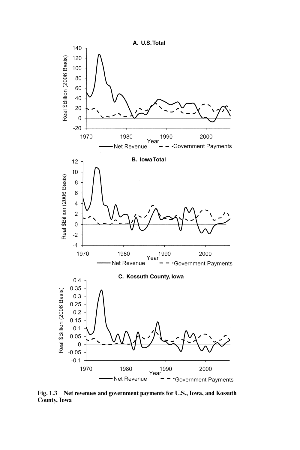

**Fig. 1.3 Net revenues and government payments for U.S., Iowa, and Kossuth County, Iowa**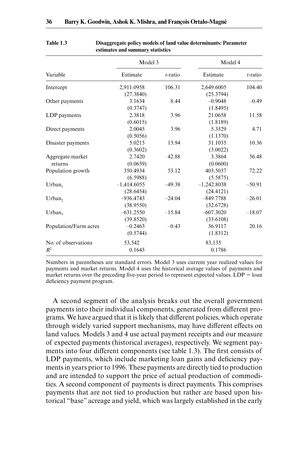|                              | Model 3                    |            | Model 4                    |            |
|------------------------------|----------------------------|------------|----------------------------|------------|
| Variable                     | Estimate                   | $t$ -ratio | Estimate                   | $t$ -ratio |
| Intercept                    | 2,911.0958<br>(27.3840)    | 106.31     | 2,649.6005<br>(25.3794)    | 104.40     |
| Other payments               | 3.1634<br>(0.3747)         | 8.44       | $-0.9048$<br>(1.8495)      | $-0.49$    |
| LDP payments                 | 2.3818<br>(0.6015)         | 3.96       | 21.0658<br>(1.8189)        | 11.58      |
| Direct payments              | 2.0045<br>(0.5056)         | 3.96       | 5.3529<br>(1.1370)         | 4.71       |
| Disaster payments            | 5.0215<br>(0.3602)         | 13.94      | 31.1035<br>(3.0022)        | 10.36      |
| Aggregate market<br>returns  | 2.7420<br>(0.0639)         | 42.88      | 3.3864<br>(0.0600)         | 56.48      |
| Population growth            | 350.4934<br>(6.5988)       | 53.12      | 403.5037<br>(5.5875)       | 72.22      |
| Urban <sub>1</sub>           | $-1,414.6055$<br>(28.6454) | $-49.38$   | $-1,242.8038$<br>(24.4121) | $-50.91$   |
| Urban,                       | $-936.4743$<br>(38.9550)   | $-24.04$   | $-849.7788$<br>(32.6728)   | $-26.01$   |
| Urban <sub>3</sub>           | $-631.2550$<br>(39.8520)   | $-15.84$   | $-607.3020$<br>(33.6108)   | $-18.07$   |
| Population/Farm acres        | $-0.2463$<br>(0.5744)      | $-0.43$    | 36.9117<br>(1.8312)        | 20.16      |
| No. of observations<br>$R^2$ | 53,542<br>0.1645           |            | 83,135<br>0.1786           |            |

#### **Table 1.3 Disaggregate policy models of land value determinants: Parameter estimates and summary statistics**

Numbers in parentheses are standard errors. Model 3 uses current year realized values for payments and market returns. Model 4 uses the historical average values of payments and market returns over the preceding five-year period to represent expected values.  $LDP = loan$ deficiency payment program.

A second segment of the analysis breaks out the overall government payments into their individual components, generated from different programs. We have argued that it is likely that different policies, which operate through widely varied support mechanisms, may have different effects on land values. Models 3 and 4 use actual payment receipts and our measure of expected payments (historical averages), respectively. We segment payments into four different components (see table 1.3). The first consists of LDP payments, which include marketing loan gains and deficiency payments in years prior to 1996. These payments are directly tied to production and are intended to support the price of actual production of commodities. A second component of payments is direct payments. This comprises payments that are not tied to production but rather are based upon historical "base" acreage and yield, which was largely established in the early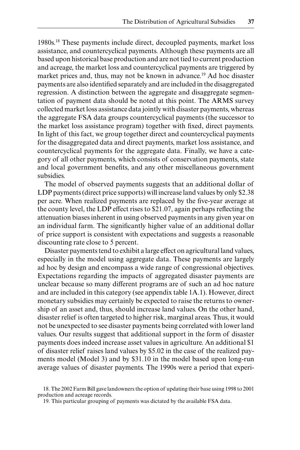1980s.18 These payments include direct, decoupled payments, market loss assistance, and countercyclical payments. Although these payments are all based upon historical base production and are not tied to current production and acreage, the market loss and countercyclical payments are triggered by market prices and, thus, may not be known in advance.<sup>19</sup> Ad hoc disaster payments are also identified separately and are included in the disaggregated regression. A distinction between the aggregate and disaggregate segmentation of payment data should be noted at this point. The ARMS survey collected market loss assistance data jointly with disaster payments, whereas the aggregate FSA data groups countercyclical payments (the successor to the market loss assistance program) together with fixed, direct payments. In light of this fact, we group together direct and countercyclical payments for the disaggregated data and direct payments, market loss assistance, and countercyclical payments for the aggregate data. Finally, we have a category of all other payments, which consists of conservation payments, state and local government benefits, and any other miscellaneous government subsidies.

The model of observed payments suggests that an additional dollar of LDP payments (direct price supports) will increase land values by only \$2.38 per acre. When realized payments are replaced by the five-year average at the county level, the LDP effect rises to  $$21.07$ , again perhaps reflecting the attenuation biases inherent in using observed payments in any given year on an individual farm. The significantly higher value of an additional dollar of price support is consistent with expectations and suggests a reasonable discounting rate close to 5 percent.

Disaster payments tend to exhibit a large effect on agricultural land values, especially in the model using aggregate data. These payments are largely ad hoc by design and encompass a wide range of congressional objectives. Expectations regarding the impacts of aggregated disaster payments are unclear because so many different programs are of such an ad hoc nature and are included in this category (see appendix table 1A.1). However, direct monetary subsidies may certainly be expected to raise the returns to ownership of an asset and, thus, should increase land values. On the other hand, disaster relief is often targeted to higher risk, marginal areas. Thus, it would not be unexpected to see disaster payments being correlated with lower land values. Our results suggest that additional support in the form of disaster payments does indeed increase asset values in agriculture. An additional \$1 of disaster relief raises land values by \$5.02 in the case of the realized payments model (Model 3) and by \$31.10 in the model based upon long-run average values of disaster payments. The 1990s were a period that experi-

<sup>18.</sup> The 2002 Farm Bill gave landowners the option of updating their base using 1998 to 2001 production and acreage records.

<sup>19.</sup> This particular grouping of payments was dictated by the available FSA data.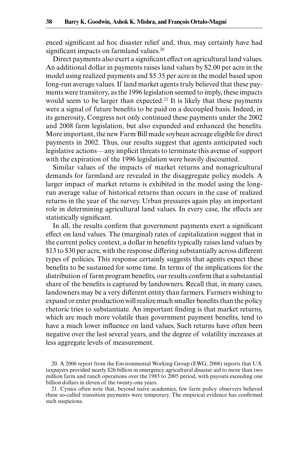enced significant ad hoc disaster relief and, thus, may certainly have had significant impacts on farmland values. $20$ 

Direct payments also exert a significant effect on agricultural land values. An additional dollar in payments raises land values by \$2.00 per acre in the model using realized payments and \$5.35 per acre in the model based upon long-run average values. If land market agents truly believed that these payments were transitory, as the 1996 legislation seemed to imply, these impacts would seem to be larger than expected.<sup>21</sup> It is likely that these payments were a signal of future benefits to be paid on a decoupled basis. Indeed, in its generosity, Congress not only continued these payments under the 2002 and 2008 farm legislation, but also expanded and enhanced the benefits. More important, the new Farm Bill made soybean acreage eligible for direct payments in 2002. Thus, our results suggest that agents anticipated such legislative actions—any implicit threats to terminate this avenue of support with the expiration of the 1996 legislation were heavily discounted.

Similar values of the impacts of market returns and nonagricultural demands for farmland are revealed in the disaggregate policy models. A larger impact of market returns is exhibited in the model using the long run average value of historical returns than occurs in the case of realized returns in the year of the survey. Urban pressures again play an important role in determining agricultural land values. In every case, the effects are statistically significant.

In all, the results confirm that government payments exert a significant effect on land values. The (marginal) rates of capitalization suggest that in the current policy context, a dollar in benefits typically raises land values by \$13 to \$30 per acre, with the response differing substantially across different types of policies. This response certainly suggests that agents expect these benefits to be sustained for some time. In terms of the implications for the distribution of farm program benefits, our results confirm that a substantial share of the benefits is captured by landowners. Recall that, in many cases, landowners may be a very different entity than farmers. Farmers wishing to expand or enter production will realize much smaller benefits than the policy rhetoric tries to substantiate. An important finding is that market returns, which are much more volatile than government payment benefits, tend to have a much lower influence on land values. Such returns have often been negative over the last several years, and the degree of volatility increases at less aggregate levels of measurement.

20. A 2006 report from the Environmental Working Group (EWG; 2006) reports that U.S. taxpayers provided nearly \$26 billion in emergency agricultural disaster aid to more than two million farm and ranch operations over the 1985 to 2005 period, with payouts exceeding one billion dollars in eleven of the twenty-one years.

21. Cynics often note that, beyond naive academics, few farm policy observers believed these so-called transition payments were temporary. The empirical evidence has confirmed such suspicions.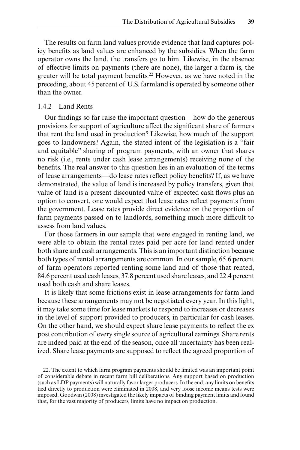The results on farm land values provide evidence that land captures policy benefits as land values are enhanced by the subsidies. When the farm operator owns the land, the transfers go to him. Likewise, in the absence of effective limits on payments (there are none), the larger a farm is, the greater will be total payment benefits.<sup>22</sup> However, as we have noted in the preceding, about 45 percent of U.S. farmland is operated by someone other than the owner.

## 1.4.2 Land Rents

Our findings so far raise the important question—how do the generous provisions for support of agriculture affect the significant share of farmers that rent the land used in production? Likewise, how much of the support goes to landowners? Again, the stated intent of the legislation is a "fair and equitable" sharing of program payments, with an owner that shares no risk (i.e., rents under cash lease arrangements) receiving none of the benefits. The real answer to this question lies in an evaluation of the terms of lease arrangements—do lease rates reflect policy benefits? If, as we have demonstrated, the value of land is increased by policy transfers, given that value of land is a present discounted value of expected cash flows plus an option to convert, one would expect that lease rates reflect payments from the government. Lease rates provide direct evidence on the proportion of farm payments passed on to landlords, something much more difficult to assess from land values.

For those farmers in our sample that were engaged in renting land, we were able to obtain the rental rates paid per acre for land rented under both share and cash arrangements. This is an important distinction because both types of rental arrangements are common. In our sample, 65.6 percent of farm operators reported renting some land and of those that rented, 84.6 percent used cash leases, 37.8 percent used share leases, and 22.4 percent used both cash and share leases.

It is likely that some frictions exist in lease arrangements for farm land because these arrangements may not be negotiated every year. In this light, it may take some time for lease markets to respond to increases or decreases in the level of support provided to producers, in particular for cash leases. On the other hand, we should expect share lease payments to reflect the expost contribution of every single source of agricultural earnings. Share rents are indeed paid at the end of the season, once all uncertainty has been realized. Share lease payments are supposed to reflect the agreed proportion of

<sup>22.</sup> The extent to which farm program payments should be limited was an important point of considerable debate in recent farm bill deliberations. Any support based on production (such as LDP payments) will naturally favor larger producers. In the end, any limits on benefits tied directly to production were eliminated in 2008, and very loose income means tests were imposed. Goodwin (2008) investigated the likely impacts of binding payment limits and found that, for the vast majority of producers, limits have no impact on production.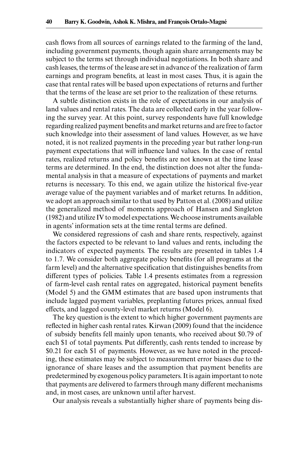cash flows from all sources of earnings related to the farming of the land, including government payments, though again share arrangements may be subject to the terms set through individual negotiations. In both share and cash leases, the terms of the lease are set in advance of the realization of farm earnings and program benefits, at least in most cases. Thus, it is again the case that rental rates will be based upon expectations of returns and further that the terms of the lease are set prior to the realization of these returns.

A subtle distinction exists in the role of expectations in our analysis of land values and rental rates. The data are collected early in the year following the survey year. At this point, survey respondents have full knowledge regarding realized payment benefits and market returns and are free to factor such knowledge into their assessment of land values. However, as we have noted, it is not realized payments in the preceding year but rather long-run payment expectations that will influence land values. In the case of rental rates, realized returns and policy benefits are not known at the time lease terms are determined. In the end, the distinction does not alter the fundamental analysis in that a measure of expectations of payments and market returns is necessary. To this end, we again utilize the historical five-year average value of the payment variables and of market returns. In addition, we adopt an approach similar to that used by Patton et al. (2008) and utilize the generalized method of moments approach of Hansen and Singleton (1982) and utilize IV to model expectations. We choose instruments available in agents' information sets at the time rental terms are defined.

We considered regressions of cash and share rents, respectively, against the factors expected to be relevant to land values and rents, including the indicators of expected payments. The results are presented in tables 1.4 to 1.7. We consider both aggregate policy benefits (for all programs at the farm level) and the alternative specification that distinguishes benefits from different types of policies. Table 1.4 presents estimates from a regression of farm-level cash rental rates on aggregated, historical payment benefits (Model 5) and the GMM estimates that are based upon instruments that include lagged payment variables, preplanting futures prices, annual fixed effects, and lagged county- level market returns (Model 6).

The key question is the extent to which higher government payments are reflected in higher cash rental rates. Kirwan (2009) found that the incidence of subsidy benefits fell mainly upon tenants, who received about \$0.79 of each \$1 of total payments. Put differently, cash rents tended to increase by \$0.21 for each \$1 of payments. However, as we have noted in the preceding, these estimates may be subject to measurement error biases due to the ignorance of share leases and the assumption that payment benefits are predetermined by exogenous policy parameters. It is again important to note that payments are delivered to farmers through many different mechanisms and, in most cases, are unknown until after harvest.

Our analysis reveals a substantially higher share of payments being dis-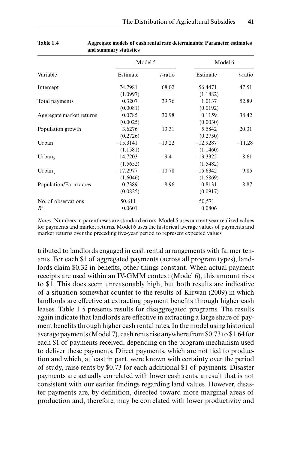|                              | Model 5                |            | Model 6                |            |
|------------------------------|------------------------|------------|------------------------|------------|
| Variable                     | Estimate               | $t$ -ratio | Estimate               | $t$ -ratio |
| Intercept                    | 74.7981<br>(1.0997)    | 68.02      | 56.4471<br>(1.1882)    | 47.51      |
| Total payments               | 0.3207<br>(0.0081)     | 39.76      | 1.0137<br>(0.0192)     | 52.89      |
| Aggregate market returns     | 0.0785<br>(0.0025)     | 30.98      | 0.1159<br>(0.0030)     | 38.42      |
| Population growth            | 3.6276<br>(0.2726)     | 13.31      | 5.5842<br>(0.2750)     | 20.31      |
| Urban,                       | $-15.3141$<br>(1.1581) | $-13.22$   | $-12.9287$<br>(1.1460) | $-11.28$   |
| Urban,                       | $-14.7203$<br>(1.5652) | $-9.4$     | $-13.3325$<br>(1.5482) | $-8.61$    |
| Urban <sub>3</sub>           | $-17.2977$<br>(1.6046) | $-10.78$   | $-15.6342$<br>(1.5869) | $-9.85$    |
| Population/Farm acres        | 0.7389<br>(0.0825)     | 8.96       | 0.8131<br>(0.0917)     | 8.87       |
| No. of observations<br>$R^2$ | 50,611<br>0.0601       |            | 50,571<br>0.0806       |            |

| <b>Table 1.4</b> | Aggregate models of cash rental rate determinants: Parameter estimates |
|------------------|------------------------------------------------------------------------|
|                  | and summary statistics                                                 |

*Notes:* Numbers in parentheses are standard errors. Model 5 uses current year realized values for payments and market returns. Model 6 uses the historical average values of payments and market returns over the preceding five-year period to represent expected values.

tributed to landlords engaged in cash rental arrangements with farmer tenants. For each \$1 of aggregated payments (across all program types), landlords claim \$0.32 in benefits, other things constant. When actual payment receipts are used within an IV-GMM context (Model 6), this amount rises to \$1. This does seem unreasonably high, but both results are indicative of a situation somewhat counter to the results of Kirwan (2009) in which landlords are effective at extracting payment benefits through higher cash leases. Table 1.5 presents results for disaggregated programs. The results again indicate that landlords are effective in extracting a large share of payment benefits through higher cash rental rates. In the model using historical average payments (Model 7), cash rents rise anywhere from \$0.73 to \$1.64 for each \$1 of payments received, depending on the program mechanism used to deliver these payments. Direct payments, which are not tied to production and which, at least in part, were known with certainty over the period of study, raise rents by \$0.73 for each additional \$1 of payments. Disaster payments are actually correlated with lower cash rents, a result that is not consistent with our earlier findings regarding land values. However, disaster payments are, by definition, directed toward more marginal areas of production and, therefore, may be correlated with lower productivity and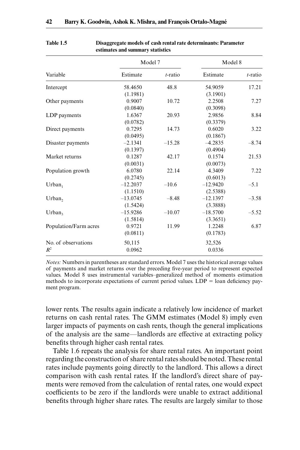|                              | Model 7                |            | Model 8                |            |
|------------------------------|------------------------|------------|------------------------|------------|
| Variable                     | Estimate               | $t$ -ratio | Estimate               | $t$ -ratio |
| Intercept                    | 58.4650<br>(1.1981)    | 48.8       | 54.9059<br>(3.1901)    | 17.21      |
| Other payments               | 0.9007<br>(0.0840)     | 10.72      | 2.2508<br>(0.3098)     | 7.27       |
| LDP payments                 | 1.6367<br>(0.0782)     | 20.93      | 2.9856<br>(0.3379)     | 8.84       |
| Direct payments              | 0.7295<br>(0.0495)     | 14.73      | 0.6020<br>(0.1867)     | 3.22       |
| Disaster payments            | $-2.1341$<br>(0.1397)  | $-15.28$   | $-4.2835$<br>(0.4904)  | $-8.74$    |
| Market returns               | 0.1287<br>(0.0031)     | 42.17      | 0.1574<br>(0.0073)     | 21.53      |
| Population growth            | 6.0780<br>(0.2745)     | 22.14      | 4.3409<br>(0.6013)     | 7.22       |
| Urban,                       | $-12,2037$<br>(1.1510) | $-10.6$    | $-12.9420$<br>(2.5388) | $-5.1$     |
| Urban,                       | $-13.0745$<br>(1.5424) | $-8.48$    | $-12.1397$<br>(3.3888) | $-3.58$    |
| Urban <sub>3</sub>           | $-15.9286$<br>(1.5814) | $-10.07$   | $-18.5700$<br>(3.3651) | $-5.52$    |
| Population/Farm acres        | 0.9721<br>(0.0811)     | 11.99      | 1.2248<br>(0.1783)     | 6.87       |
| No. of observations<br>$R^2$ | 50,115<br>0.0962       |            | 32,526<br>0.0336       |            |

#### **Table 1.5 Disaggregate models of cash rental rate determinants: Parameter estimates and summary statistics**

*Notes:* Numbers in parentheses are standard errors. Model 7 uses the historical average values of payments and market returns over the preceding five-year period to represent expected values. Model 8 uses instrumental variables–generalized method of moments estimation methods to incorporate expectations of current period values.  $LDP =$  loan deficiency payment program.

lower rents. The results again indicate a relatively low incidence of market returns on cash rental rates. The GMM estimates (Model 8) imply even larger impacts of payments on cash rents, though the general implications of the analysis are the same—landlords are effective at extracting policy benefits through higher cash rental rates.

Table 1.6 repeats the analysis for share rental rates. An important point regarding the construction of share rental rates should be noted. These rental rates include payments going directly to the landlord. This allows a direct comparison with cash rental rates. If the landlord's direct share of payments were removed from the calculation of rental rates, one would expect coefficients to be zero if the landlords were unable to extract additional benefits through higher share rates. The results are largely similar to those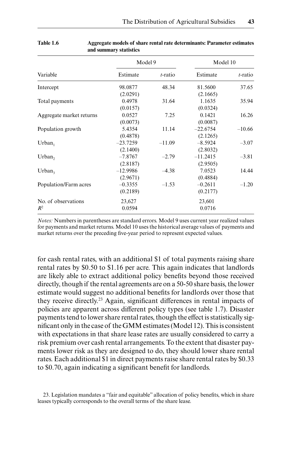|                              | Model 9                |            | Model 10               |            |
|------------------------------|------------------------|------------|------------------------|------------|
| Variable                     | Estimate               | $t$ -ratio | Estimate               | $t$ -ratio |
| Intercept                    | 98.0877<br>(2.0291)    | 48.34      | 81.5600<br>(2.1665)    | 37.65      |
| Total payments               | 0.4978<br>(0.0157)     | 31.64      | 1.1635<br>(0.0324)     | 35.94      |
| Aggregate market returns     | 0.0527<br>(0.0073)     | 7.25       | 0.1421<br>(0.0087)     | 16.26      |
| Population growth            | 5.4354<br>(0.4878)     | 11.14      | $-22.6754$<br>(2.1265) | $-10.66$   |
| Urban,                       | $-23.7259$<br>(2.1400) | $-11.09$   | $-8.5924$<br>(2.8032)  | $-3.07$    |
| Urban,                       | $-7.8767$<br>(2.8187)  | $-2.79$    | $-11.2415$<br>(2.9505) | $-3.81$    |
| Urban <sub>3</sub>           | $-12.9986$<br>(2.9671) | $-4.38$    | 7.0523<br>(0.4884)     | 14.44      |
| Population/Farm acres        | $-0.3355$<br>(0.2189)  | $-1.53$    | $-0.2611$<br>(0.2177)  | $-1.20$    |
| No. of observations<br>$R^2$ | 23,627<br>0.0594       |            | 23,601<br>0.0716       |            |

| <b>Table 1.6</b> | Aggregate models of share rental rate determinants: Parameter estimates |
|------------------|-------------------------------------------------------------------------|
|                  | and summary statistics                                                  |

*Notes:* Numbers in parentheses are standard errors. Model 9 uses current year realized values for payments and market returns. Model 10 uses the historical average values of payments and market returns over the preceding five-year period to represent expected values.

for cash rental rates, with an additional \$1 of total payments raising share rental rates by \$0.50 to \$1.16 per acre. This again indicates that landlords are likely able to extract additional policy benefits beyond those received directly, though if the rental agreements are on a 50-50 share basis, the lower estimate would suggest no additional benefits for landlords over those that they receive directly.<sup>23</sup> Again, significant differences in rental impacts of policies are apparent across different policy types (see table 1.7). Disaster payments tend to lower share rental rates, though the effect is statistically significant only in the case of the GMM estimates (Model 12). This is consistent with expectations in that share lease rates are usually considered to carry a risk premium over cash rental arrangements. To the extent that disaster payments lower risk as they are designed to do, they should lower share rental rates. Each additional \$1 in direct payments raise share rental rates by \$0.33 to \$0.70, again indicating a significant benefit for landlords.

<sup>23.</sup> Legislation mandates a "fair and equitable" allocation of policy benefits, which in share leases typically corresponds to the overall terms of the share lease.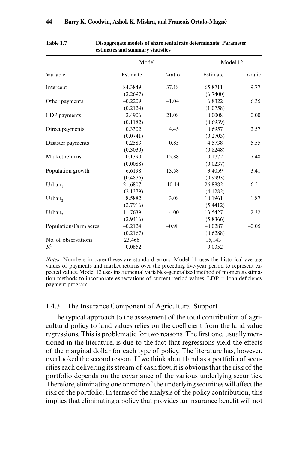|                       | Model 11   |            | Model 12   |            |
|-----------------------|------------|------------|------------|------------|
| Variable              | Estimate   | $t$ -ratio | Estimate   | $t$ -ratio |
| Intercept             | 84.3849    | 37.18      | 65.8711    | 9.77       |
|                       | (2.2697)   |            | (6.7400)   |            |
| Other payments        | $-0.2209$  | $-1.04$    | 6.8322     | 6.35       |
|                       | (0.2124)   |            | (1.0758)   |            |
| LDP payments          | 2.4906     | 21.08      | 0.0008     | 0.00       |
|                       | (0.1182)   |            | (0.6939)   |            |
| Direct payments       | 0.3302     | 4.45       | 0.6957     | 2.57       |
|                       | (0.0741)   |            | (0.2703)   |            |
| Disaster payments     | $-0.2583$  | $-0.85$    | $-4.5738$  | $-5.55$    |
|                       | (0.3030)   |            | (0.8248)   |            |
| Market returns        | 0.1390     | 15.88      | 0.1772     | 7.48       |
|                       | (0.0088)   |            | (0.0237)   |            |
| Population growth     | 6.6198     | 13.58      | 3.4059     | 3.41       |
|                       | (0.4876)   |            | (0.9993)   |            |
| Urban <sub>1</sub>    | $-21.6807$ | $-10.14$   | $-26.8882$ | $-6.51$    |
|                       | (2.1379)   |            | (4.1282)   |            |
| Urban,                | $-8.5882$  | $-3.08$    | $-10.1961$ | $-1.87$    |
|                       | (2.7916)   |            | (5.4412)   |            |
| Urban <sub>2</sub>    | $-11.7639$ | $-4.00$    | $-13.5427$ | $-2.32$    |
|                       | (2.9416)   |            | (5.8366)   |            |
| Population/Farm acres | $-0.2124$  | $-0.98$    | $-0.0287$  | $-0.05$    |
|                       | (0.2167)   |            | (0.6288)   |            |
| No. of observations   | 23,466     |            | 15,143     |            |
| $R^2$                 | 0.0852     |            | 0.0352     |            |

#### **Table 1.7 Disaggregate models of share rental rate determinants: Parameter estimates and summary statistics**

*Notes:* Numbers in parentheses are standard errors. Model 11 uses the historical average values of payments and market returns over the preceding five-year period to represent expected values. Model 12 uses instrumental variables–generalized method of moments estimation methods to incorporate expectations of current period values.  $LDP =$  loan deficiency payment program.

## 1.4.3 The Insurance Component of Agricultural Support

The typical approach to the assessment of the total contribution of agricultural policy to land values relies on the coefficient from the land value regressions. This is problematic for two reasons. The first one, usually mentioned in the literature, is due to the fact that regressions yield the effects of the marginal dollar for each type of policy. The literature has, however, overlooked the second reason. If we think about land as a portfolio of securities each delivering its stream of cash flow, it is obvious that the risk of the portfolio depends on the covariance of the various underlying securities. Therefore, eliminating one or more of the underlying securities will affect the risk of the portfolio. In terms of the analysis of the policy contribution, this implies that eliminating a policy that provides an insurance benefit will not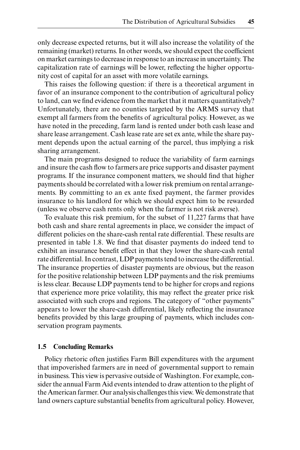only decrease expected returns, but it will also increase the volatility of the remaining (market) returns. In other words, we should expect the coefficient on market earnings to decrease in response to an increase in uncertainty. The capitalization rate of earnings will be lower, reflecting the higher opportunity cost of capital for an asset with more volatile earnings.

This raises the following question: if there is a theoretical argument in favor of an insurance component to the contribution of agricultural policy to land, can we find evidence from the market that it matters quantitatively? Unfortunately, there are no counties targeted by the ARMS survey that exempt all farmers from the benefits of agricultural policy. However, as we have noted in the preceding, farm land is rented under both cash lease and share lease arrangement. Cash lease rate are set ex ante, while the share payment depends upon the actual earning of the parcel, thus implying a risk sharing arrangement.

The main programs designed to reduce the variability of farm earnings and insure the cash flow to farmers are price supports and disaster payment programs. If the insurance component matters, we should find that higher payments should be correlated with a lower risk premium on rental arrangements. By committing to an ex ante fixed payment, the farmer provides insurance to his landlord for which we should expect him to be rewarded (unless we observe cash rents only when the farmer is not risk averse).

To evaluate this risk premium, for the subset of 11,227 farms that have both cash and share rental agreements in place, we consider the impact of different policies on the share-cash rental rate differential. These results are presented in table 1.8. We find that disaster payments do indeed tend to exhibit an insurance benefit effect in that they lower the share-cash rental rate differential. In contrast, LDP payments tend to increase the differential. The insurance properties of disaster payments are obvious, but the reason for the positive relationship between LDP payments and the risk premiums is less clear. Because LDP payments tend to be higher for crops and regions that experience more price volatility, this may reflect the greater price risk associated with such crops and regions. The category of "other payments" appears to lower the share-cash differential, likely reflecting the insurance benefits provided by this large grouping of payments, which includes conservation program payments.

## **1.5 Concluding Remarks**

Policy rhetoric often justifies Farm Bill expenditures with the argument that impoverished farmers are in need of governmental support to remain in business. This view is pervasive outside of Washington. For example, consider the annual Farm Aid events intended to draw attention to the plight of the American farmer. Our analysis challenges this view. We demonstrate that land owners capture substantial benefits from agricultural policy. However,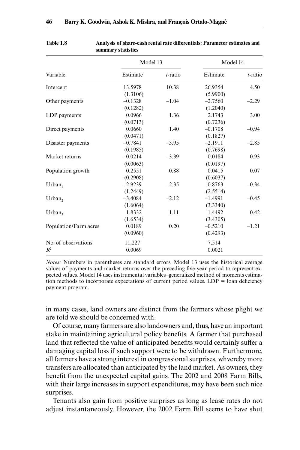|                              | Model 13                       |            | Model 14                       |            |
|------------------------------|--------------------------------|------------|--------------------------------|------------|
| Variable                     | Estimate                       | $t$ -ratio | Estimate                       | $t$ -ratio |
| Intercept                    | 13.5978<br>(1.3106)            | 10.38      | 26.9354<br>(5.9900)            | 4.50       |
| Other payments               | $-0.1328$<br>(0.1282)          | $-1.04$    | $-2.7560$<br>(1.2040)          | $-2.29$    |
| LDP payments                 | 0.0966<br>(0.0713)             | 1.36       | 2.1743<br>(0.7236)             | 3.00       |
| Direct payments              | 0.0660<br>(0.0471)             | 1.40       | $-0.1708$<br>(0.1827)          | $-0.94$    |
| Disaster payments            | $-0.7841$<br>(0.1985)          | $-3.95$    | $-2.1911$<br>(0.7698)          | $-2.85$    |
| Market returns               | $-0.0214$<br>(0.0063)          | $-3.39$    | 0.0184<br>(0.0197)             | 0.93       |
| Population growth            | 0.2551<br>(0.2908)             | 0.88       | 0.0415<br>(0.6037)             | 0.07       |
| Urban <sub>1</sub>           | $-2.9239$                      | $-2.35$    | $-0.8763$                      | $-0.34$    |
| Urban,                       | (1.2449)<br>$-3.4084$          | $-2.12$    | (2.5514)<br>$-1.4991$          | $-0.45$    |
| Urban <sub>3</sub>           | (1.6064)<br>1.8332<br>(1.6534) | 1.11       | (3.3340)<br>1.4492<br>(3.4305) | 0.42       |
| Population/Farm acres        | 0.0189<br>(0.0960)             | 0.20       | $-0.5210$<br>(0.4293)          | $-1.21$    |
| No. of observations<br>$R^2$ | 11,227<br>0.0069               |            | 7,514<br>0.0021                |            |

| <b>Table 1.8</b> | Analysis of share-cash rental rate differentials: Parameter estimates and |
|------------------|---------------------------------------------------------------------------|
|                  | summary statistics                                                        |

*Notes:* Numbers in parentheses are standard errors. Model 13 uses the historical average values of payments and market returns over the preceding five-year period to represent expected values. Model 14 uses instrumental variables–generalized method of moments estimation methods to incorporate expectations of current period values.  $LDP =$  loan deficiency payment program.

in many cases, land owners are distinct from the farmers whose plight we are told we should be concerned with.

Of course, many farmers are also landowners and, thus, have an important stake in maintaining agricultural policy benefits. A farmer that purchased land that reflected the value of anticipated benefits would certainly suffer a damaging capital loss if such support were to be withdrawn. Furthermore, all farmers have a strong interest in congressional surprises, whvereby more transfers are allocated than anticipated by the land market. As owners, they benefit from the unexpected capital gains. The 2002 and 2008 Farm Bills, with their large increases in support expenditures, may have been such nice surprises.

Tenants also gain from positive surprises as long as lease rates do not adjust instantaneously. However, the 2002 Farm Bill seems to have shut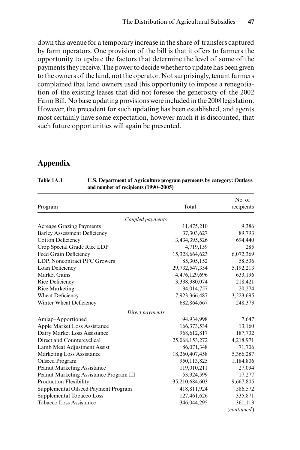down this avenue for a temporary increase in the share of transfers captured by farm operators. One provision of the bill is that it offers to farmers the opportunity to update the factors that determine the level of some of the payments they receive. The power to decide whether to update has been given to the owners of the land, not the operator. Not surprisingly, tenant farmers complained that land owners used this opportunity to impose a renegotiation of the existing leases that did not foresee the generosity of the 2002 Farm Bill. No base updating provisions were included in the 2008 legislation. However, the precedent for such updating has been established, and agents most certainly have some expectation, however much it is discounted, that such future opportunities will again be presented.

## **Appendix**

| Program                                 | Total          | No. of<br>recipients |
|-----------------------------------------|----------------|----------------------|
| Coupled payments                        |                |                      |
| <b>Acreage Grazing Payments</b>         | 11,475,210     | 9,386                |
| <b>Barley Assessment Deficiency</b>     | 37, 303, 627   | 89,793               |
| <b>Cotton Deficiency</b>                | 3,434,395,526  | 694,440              |
| Crop Special Grade Rice LDP             | 4,719,159      | 285                  |
| Feed Grain Deficiency                   | 15,328,664,623 | 6,072,369            |
| LDP, Noncontract PFC Growers            | 85,305,152     | 58,536               |
| Loan Deficiency                         | 29,732,547,354 | 5,192,213            |
| <b>Market Gains</b>                     | 4,476,129,696  | 633,196              |
| Rice Deficiency                         | 3,338,380,074  | 218,421              |
| <b>Rice Marketing</b>                   | 34,014,757     | 20,274               |
| <b>Wheat Deficiency</b>                 | 7,923,366,487  | 3,223,695            |
| Winter Wheat Deficiency                 | 682, 864, 667  | 248,373              |
| Direct payments                         |                |                      |
| Amlap-Apportioned                       | 94,934,998     | 7,647                |
| Apple Market Loss Assistance            | 166, 373, 534  | 13,160               |
| Dairy Market Loss Assistance            | 968,612,817    | 187,732              |
| Direct and Countercyclical              | 25,068,153,272 | 4,218,971            |
| Lamb Meat Adjustment Assist             | 86,071,348     | 71,706               |
| Marketing Loss Assistance               | 18,260,407,458 | 5,366,287            |
| Oilseed Program                         | 950,113,825    | 1,184,806            |
| Peanut Marketing Assistance             | 119,010,211    | 27,094               |
| Peanut Marketing Assistance Program III | 53,924,599     | 17,277               |
| <b>Production Flexibility</b>           | 35,210,684,603 | 9,667,805            |
| Supplemental Oilseed Payment Program    | 418,811,924    | 586,572              |
| Supplemental Tobacco Loss               | 127,461,626    | 335,871              |
| <b>Tobacco Loss Assistance</b>          | 346,044,295    | 361,113              |
|                                         |                | (continued)          |

**Table 1A.1 U.S. Department of Agriculture program payments by category: Outlays and number of recipients (1990–2005)**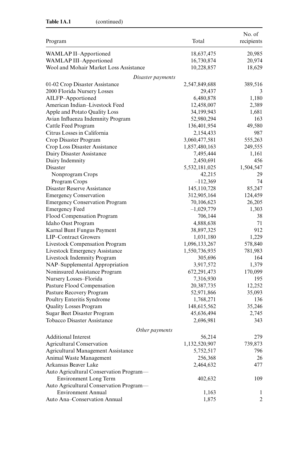## **Table 1A.1** (continued)

| Program                                      | Total         | No. of<br>recipients |
|----------------------------------------------|---------------|----------------------|
| WAMLAP II-Apportioned                        | 18,637,475    | 20,985               |
| WAMLAP III-Apportioned                       | 16,730,874    | 20,974               |
| Wool and Mohair Market Loss Assistance       | 10,228,857    | 18,629               |
| Disaster payments                            |               |                      |
| 01-02 Crop Disaster Assistance               | 2,547,849,688 | 389,516              |
| 2000 Florida Nursery Losses                  | 29,437        | 3                    |
| AILFP-Apportioned                            | 6,480,878     | 1,180                |
| American Indian-Livestock Feed               | 12,458,007    | 2,389                |
| Apple and Potato Quality Loss                | 34, 199, 943  | 1,681                |
| Avian Influenza Indemnity Program            | 52,980,294    | 163                  |
| Cattle Feed Program                          | 136,401,954   | 49,580               |
| Citrus Losses in California                  | 2,154,433     | 987                  |
| Crop Disaster Program                        | 3,060,477,581 | 555,263              |
| Crop Loss Disaster Assistance                | 1,857,480,163 | 249,555              |
| Dairy Disaster Assistance                    | 7,495,444     | 1,161                |
| Dairy Indemnity                              | 2,450,691     | 456                  |
| <b>Disaster</b>                              | 5,532,181,025 | 1,504,547            |
| Nonprogram Crops                             | 42,215        | 29                   |
| Program Crops                                | $-112,369$    | 74                   |
| Disaster Reserve Assistance                  | 145, 110, 728 | 85,247               |
| <b>Emergency Conservation</b>                | 312,905,164   | 124,459              |
| <b>Emergency Conservation Program</b>        | 70,106,623    | 26,205               |
| <b>Emergency Feed</b>                        | $-1,029,779$  | 1,303                |
| Flood Compensation Program                   | 706,144       | 38                   |
| Idaho Oust Program                           | 4,888,638     | 71                   |
| Karnal Bunt Fungus Payment                   | 38,897,325    | 912                  |
| <b>LIP-Contract Growers</b>                  | 1,031,180     | 1,229                |
| Livestock Compensation Program               | 1,096,133,267 | 578,840              |
| Livestock Emergency Assistance               | 1,550,736,935 | 781,983              |
| Livestock Indemnity Program                  | 305,696       | 164                  |
| NAP-Supplemental Appropriation               | 3,917,572     | 1,379                |
| Noninsured Assistance Program                | 672, 291, 473 | 170,099              |
| Nursery Losses-Florida                       | 7,316,930     | 195                  |
| Pasture Flood Compensation                   | 20, 387, 735  | 12,252               |
| Pasture Recovery Program                     | 52,971,866    | 35,093               |
| Poultry Enteritis Syndrome                   | 1,768,271     | 136                  |
| <b>Quality Losses Program</b>                | 148,615,562   | 35,246               |
| Sugar Beet Disaster Program                  | 45,636,494    | 2,745                |
| Tobacco Disaster Assistance                  | 2,696,981     | 343                  |
|                                              |               |                      |
| Other payments<br><b>Additional Interest</b> | 56,214        | 279                  |
| <b>Agricultural Conservation</b>             | 1,132,520,907 | 739,873              |
| Agricultural Management Assistance           | 5,752,517     | 796                  |
| Animal Waste Management                      | 256,368       | 26                   |
| Arkansas Beaver Lake                         | 2,464,632     | 477                  |
| Auto Agricultural Conservation Program-      |               |                      |
| <b>Environment Long Term</b>                 | 402,632       | 109                  |
| Auto Agricultural Conservation Program-      |               |                      |
| <b>Environment Annual</b>                    | 1,163         | 1                    |
| Auto Ana-Conservation Annual                 | 1,875         | $\overline{c}$       |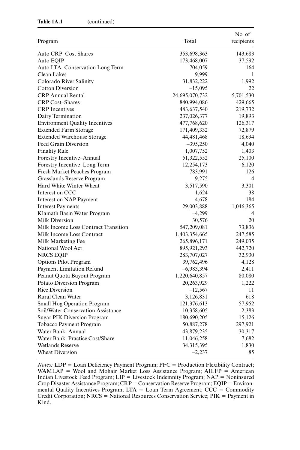| Program                               | Total          | No. of<br>recipients |
|---------------------------------------|----------------|----------------------|
| <b>Auto CRP–Cost Shares</b>           | 353,698,363    | 143,683              |
| Auto EOIP                             | 173,468,007    | 37,592               |
| Auto LTA-Conservation Long Term       | 704,059        | 164                  |
| Clean Lakes                           | 9,999          | 1                    |
| Colorado River Salinity               | 31,832,222     | 1,992                |
| <b>Cotton Diversion</b>               | $-15,095$      | 22                   |
| <b>CRP</b> Annual Rental              | 24,695,070,732 | 5,701,530            |
| <b>CRP</b> Cost-Shares                | 840,994,086    | 429,665              |
| <b>CRP</b> Incentives                 | 483,637,540    | 219,732              |
| Dairy Termination                     | 237,026,377    | 19,893               |
| <b>Environment Quality Incentives</b> | 477,768,620    | 126,317              |
| <b>Extended Farm Storage</b>          | 171,409,332    | 72,879               |
| <b>Extended Warehouse Storage</b>     | 44, 481, 468   | 18,694               |
| Feed Grain Diversion                  | $-395,250$     | 4,040                |
| <b>Finality Rule</b>                  | 1,007,752      | 1,403                |
| Forestry Incentive-Annual             | 51,322,552     | 25,100               |
| Forestry Incentive-Long Term          | 12,254,173     | 6,120                |
| Fresh Market Peaches Program          | 783,991        | 126                  |
| Grasslands Reserve Program            | 9,275          | $\overline{4}$       |
| Hard White Winter Wheat               | 3,517,590      | 3,301                |
| Interest on CCC                       | 1,624          | 38                   |
| Interest on NAP Payment               | 4,678          | 184                  |
| <b>Interest Payments</b>              | 29,003,888     | 1,046,365            |
| Klamath Basin Water Program           | $-4,299$       | $\overline{4}$       |
| Milk Diversion                        | 30,576         | 20                   |
| Milk Income Loss Contract Transition  | 547,209,081    | 73,836               |
| Milk Income Loss Contract             | 1,403,354,665  | 247,585              |
| Milk Marketing Fee                    | 265,896,171    | 249,035              |
| National Wool Act                     | 895, 921, 293  | 442,720              |
| <b>NRCS EQIP</b>                      | 283,707,027    | 32,930               |
| Options Pilot Program                 | 39,762,496     | 4,128                |
| Payment Limitation Refund             | $-6,983,394$   | 2,411                |
| Peanut Quota Buyout Program           | 1,220,640,857  | 80,080               |
| Potato Diversion Program              | 20,263,929     | 1,222                |
| <b>Rice Diversion</b>                 | $-12,567$      | 11                   |
| <b>Rural Clean Water</b>              | 3,126,831      | 618                  |
| <b>Small Hog Operation Program</b>    | 121,376,613    | 57,952               |
| Soil/Water Conservation Assistance    | 10,358,605     | 2,383                |
| <b>Sugar PIK Diversion Program</b>    | 180,690,205    | 15,126               |
| Tobacco Payment Program               | 50,887,278     | 297,921              |
| Water Bank-Annual                     | 43,879,235     | 30,317               |
| Water Bank-Practice Cost/Share        | 11,046,258     | 7,682                |
| <b>Wetlands Reserve</b>               | 34, 315, 395   | 1,830                |
| <b>Wheat Diversion</b>                | $-2,237$       | 85                   |
|                                       |                |                      |

*Notes:* LDP = Loan Deficiency Payment Program; PFC = Production Flexibility Contract;  $WAMLAP = Wood$  and Mohair Market Loss Assistance Program;  $ALFP = American$ Indian Livestock Feed Program;  $LIP =$  Livestock Indemnity Program;  $NAP =$  Noninsured Crop Disaster Assistance Program;  $CRP =$  Conservation Reserve Program;  $EQIP =$  Environmental Quality Incentives Program;  $LTA = Loan$  Term Agreement;  $CCC = Commodity$ Credit Corporation;  $NRCS = National Resources Conservation Service; PIK = Payment in$ Kind.